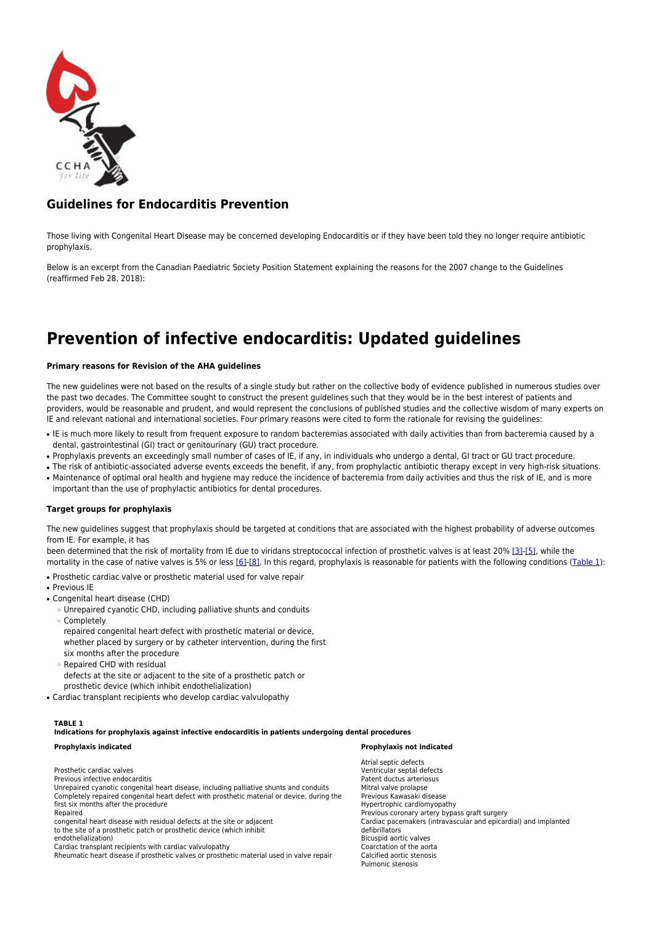

## **Guidelines for Endocarditis Prevention**

Those living with Congenital Heart Disease may be concerned developing Endocarditis or if they have been told they no longer require antibiotic prophylaxis.

Below is an excerpt from the Canadian Paediatric Society Position Statement explaining the reasons for the 2007 change to the Guidelines (reaffirmed Feb 28, 2018):

# **Prevention of infective endocarditis: Updated guidelines**

### **Primary reasons for Revision of the AHA guidelines**

The new guidelines were not based on the results of a single study but rather on the collective body of evidence published in numerous studies over the past two decades. The Committee sought to construct the present guidelines such that they would be in the best interest of patients and providers, would be reasonable and prudent, and would represent the conclusions of published studies and the collective wisdom of many experts on IE and relevant national and international societies. Four primary reasons were cited to form the rationale for revising the guidelines:

- IE is much more likely to result from frequent exposure to random bacteremias associated with daily activities than from bacteremia caused by a dental, gastrointestinal (GI) tract or genitourinary (GU) tract procedure.
- Prophylaxis prevents an exceedingly small number of cases of IE, if any, in individuals who undergo a dental, GI tract or GU tract procedure.
- The risk of antibiotic-associated adverse events exceeds the benefit, if any, from prophylactic antibiotic therapy except in very high-risk situations.
- Maintenance of optimal oral health and hygiene may reduce the incidence of bacteremia from daily activities and thus the risk of IE, and is more important than the use of prophylactic antibiotics for dental procedures.

### **Target groups for prophylaxis**

The new guidelines suggest that prophylaxis should be targeted at conditions that are associated with the highest probability of adverse outcomes from IE. For example, it has

been determined that the risk of mortality from IE due to viridans streptococcal infection of prosthetic valves is at least 20% [\[3\]](https://www.cps.ca/en/documents/position/infective-endorcarditis-guidelines#ref3)[-\[5\],](https://www.cps.ca/en/documents/position/infective-endorcarditis-guidelines#ref5) while the mortality in the case of native valves is 5% or less [\[6\]](https://www.cps.ca/en/documents/position/infective-endorcarditis-guidelines#ref6)-[\[8\]](https://www.cps.ca/en/documents/position/infective-endorcarditis-guidelines#ref8). In this regard, prophylaxis is reasonable for patients with the following conditions [\(Table 1](https://www.cps.ca/en/documents/position/infective-endorcarditis-guidelines#table1)):

• Prosthetic cardiac valve or prosthetic material used for valve repair

- Previous IE
- Congenital heart disease (CHD)
	- ❍ Unrepaired cyanotic CHD, including palliative shunts and conduits
	- ❍ Completely repaired congenital heart defect with prosthetic material or device, whether placed by surgery or by catheter intervention, during the first six months after the procedure
	- ❍ Repaired CHD with residual

defects at the site or adjacent to the site of a prosthetic patch or prosthetic device (which inhibit endothelialization)

• Cardiac transplant recipients who develop cardiac valvulopathy

#### **TABLE 1**

**Indications for prophylaxis against infective endocarditis in patients undergoing dental procedures Prophylaxis indicated Prophylaxis not indicated**

Prosthetic cardiac valves

Previous infective endocarditis Unrepaired cyanotic congenital heart disease, including palliative shunts and conduits Completely repaired congenital heart defect with prosthetic material or device, during the first six months after the procedure Repaired

congenital heart disease with residual defects at the site or adjacent

to the site of a prosthetic patch or prosthetic device (which inhibit

endothelialization)

Cardiac transplant recipients with cardiac valvulopathy

Rheumatic heart disease if prosthetic valves or prosthetic material used in valve repair

Atrial septic defects Ventricular septal defects Patent ductus arteriosus Mitral valve prolapse Previous Kawasaki disease Hypertrophic cardiomyopathy Previous coronary artery bypass graft surgery Cardiac pacemakers (intravascular and epicardial) and implanted defibrillators Bicuspid aortic valves Coarctation of the aorta Calcified aortic stenosis Pulmonic stenosis